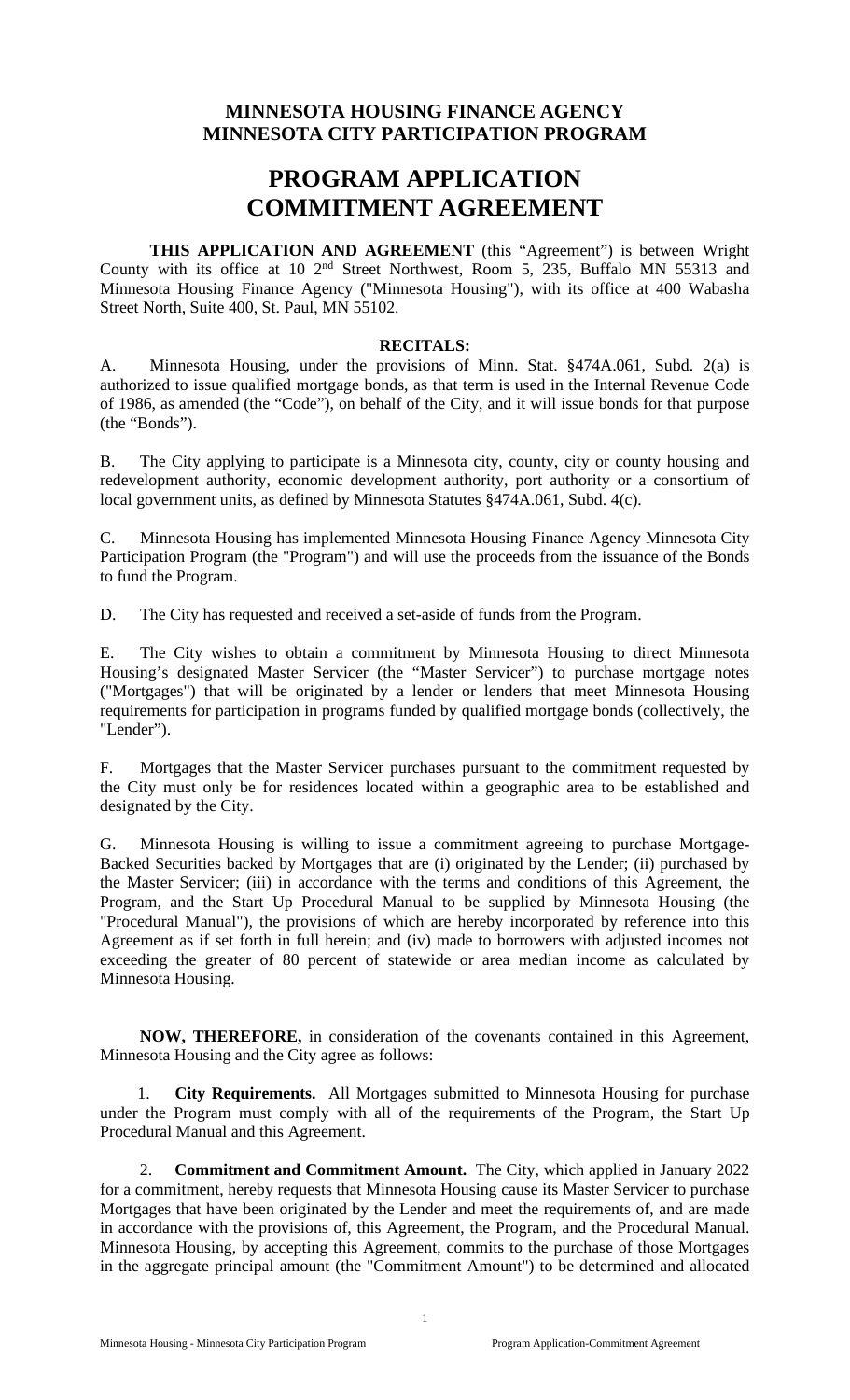## **MINNESOTA HOUSING FINANCE AGENCY MINNESOTA CITY PARTICIPATION PROGRAM**

# **PROGRAM APPLICATION COMMITMENT AGREEMENT**

**THIS APPLICATION AND AGREEMENT** (this "Agreement") is between Wright County with its office at 10 2nd Street Northwest, Room 5, 235, Buffalo MN 55313 and Minnesota Housing Finance Agency ("Minnesota Housing"), with its office at 400 Wabasha Street North, Suite 400, St. Paul, MN 55102.

#### **RECITALS:**

A. Minnesota Housing, under the provisions of Minn. Stat. §474A.061, Subd. 2(a) is authorized to issue qualified mortgage bonds, as that term is used in the Internal Revenue Code of 1986, as amended (the "Code"), on behalf of the City, and it will issue bonds for that purpose (the "Bonds").

B. The City applying to participate is a Minnesota city, county, city or county housing and redevelopment authority, economic development authority, port authority or a consortium of local government units, as defined by Minnesota Statutes §474A.061, Subd. 4(c).

C. Minnesota Housing has implemented Minnesota Housing Finance Agency Minnesota City Participation Program (the "Program") and will use the proceeds from the issuance of the Bonds to fund the Program.

D. The City has requested and received a set-aside of funds from the Program.

E. The City wishes to obtain a commitment by Minnesota Housing to direct Minnesota Housing's designated Master Servicer (the "Master Servicer") to purchase mortgage notes ("Mortgages") that will be originated by a lender or lenders that meet Minnesota Housing requirements for participation in programs funded by qualified mortgage bonds (collectively, the "Lender").

F. Mortgages that the Master Servicer purchases pursuant to the commitment requested by the City must only be for residences located within a geographic area to be established and designated by the City.

G. Minnesota Housing is willing to issue a commitment agreeing to purchase Mortgage-Backed Securities backed by Mortgages that are (i) originated by the Lender; (ii) purchased by the Master Servicer; (iii) in accordance with the terms and conditions of this Agreement, the Program, and the Start Up Procedural Manual to be supplied by Minnesota Housing (the "Procedural Manual"), the provisions of which are hereby incorporated by reference into this Agreement as if set forth in full herein; and (iv) made to borrowers with adjusted incomes not exceeding the greater of 80 percent of statewide or area median income as calculated by Minnesota Housing.

**NOW, THEREFORE,** in consideration of the covenants contained in this Agreement, Minnesota Housing and the City agree as follows:

1. **City Requirements.** All Mortgages submitted to Minnesota Housing for purchase under the Program must comply with all of the requirements of the Program, the Start Up Procedural Manual and this Agreement.

2. **Commitment and Commitment Amount.** The City, which applied in January 2022 for a commitment, hereby requests that Minnesota Housing cause its Master Servicer to purchase Mortgages that have been originated by the Lender and meet the requirements of, and are made in accordance with the provisions of, this Agreement, the Program, and the Procedural Manual. Minnesota Housing, by accepting this Agreement, commits to the purchase of those Mortgages in the aggregate principal amount (the "Commitment Amount") to be determined and allocated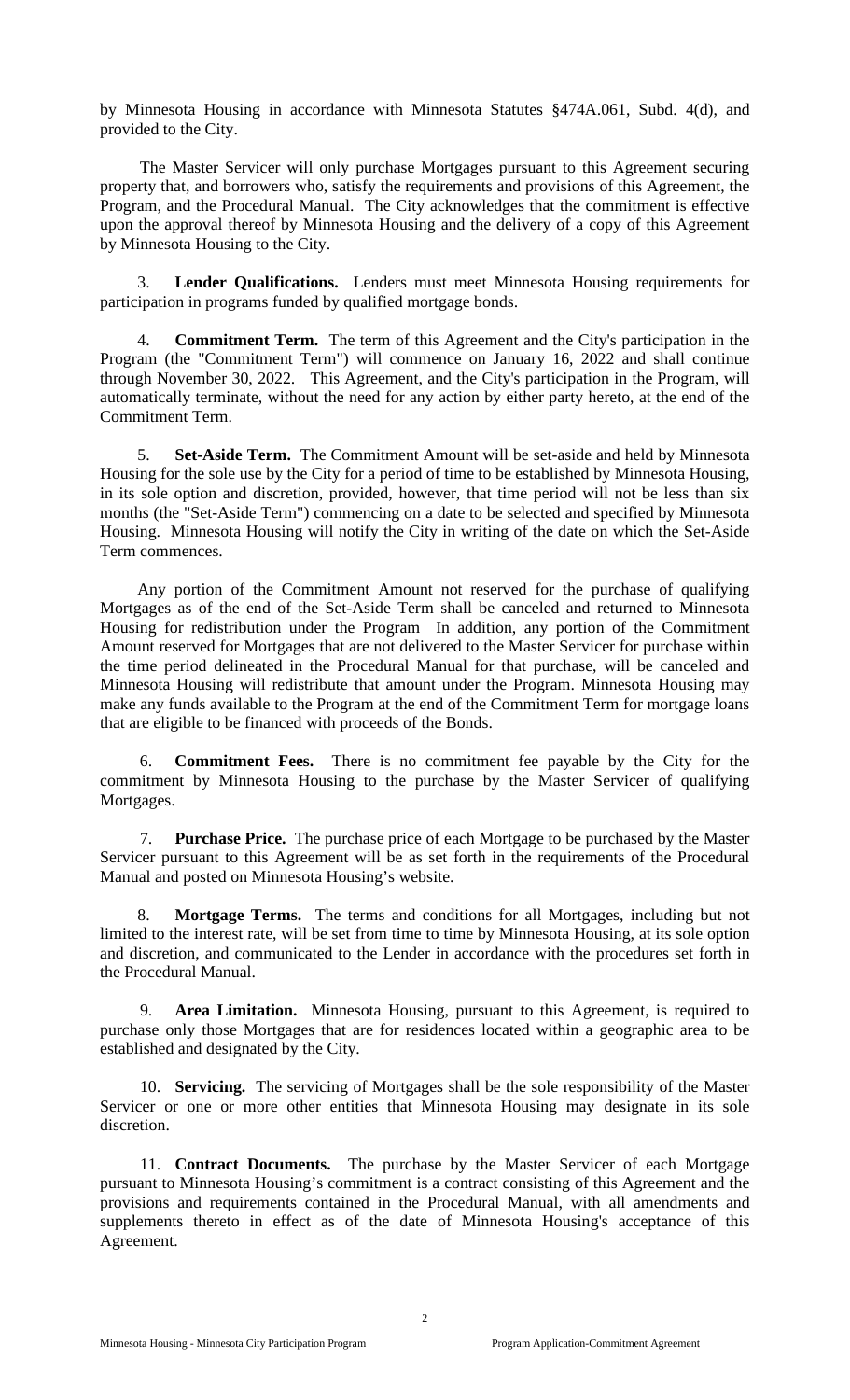by Minnesota Housing in accordance with Minnesota Statutes §474A.061, Subd. 4(d), and provided to the City.

The Master Servicer will only purchase Mortgages pursuant to this Agreement securing property that, and borrowers who, satisfy the requirements and provisions of this Agreement, the Program, and the Procedural Manual. The City acknowledges that the commitment is effective upon the approval thereof by Minnesota Housing and the delivery of a copy of this Agreement by Minnesota Housing to the City.

3. **Lender Qualifications.** Lenders must meet Minnesota Housing requirements for participation in programs funded by qualified mortgage bonds.

4. **Commitment Term.** The term of this Agreement and the City's participation in the Program (the "Commitment Term") will commence on January 16, 2022 and shall continue through November 30, 2022. This Agreement, and the City's participation in the Program, will automatically terminate, without the need for any action by either party hereto, at the end of the Commitment Term.

5. **Set-Aside Term.** The Commitment Amount will be set-aside and held by Minnesota Housing for the sole use by the City for a period of time to be established by Minnesota Housing, in its sole option and discretion, provided, however, that time period will not be less than six months (the "Set-Aside Term") commencing on a date to be selected and specified by Minnesota Housing. Minnesota Housing will notify the City in writing of the date on which the Set-Aside Term commences.

Any portion of the Commitment Amount not reserved for the purchase of qualifying Mortgages as of the end of the Set-Aside Term shall be canceled and returned to Minnesota Housing for redistribution under the Program In addition, any portion of the Commitment Amount reserved for Mortgages that are not delivered to the Master Servicer for purchase within the time period delineated in the Procedural Manual for that purchase, will be canceled and Minnesota Housing will redistribute that amount under the Program. Minnesota Housing may make any funds available to the Program at the end of the Commitment Term for mortgage loans that are eligible to be financed with proceeds of the Bonds.

6. **Commitment Fees.** There is no commitment fee payable by the City for the commitment by Minnesota Housing to the purchase by the Master Servicer of qualifying Mortgages.

7. **Purchase Price.** The purchase price of each Mortgage to be purchased by the Master Servicer pursuant to this Agreement will be as set forth in the requirements of the Procedural Manual and posted on Minnesota Housing's website.

8. **Mortgage Terms.** The terms and conditions for all Mortgages, including but not limited to the interest rate, will be set from time to time by Minnesota Housing, at its sole option and discretion, and communicated to the Lender in accordance with the procedures set forth in the Procedural Manual.

9. **Area Limitation.** Minnesota Housing, pursuant to this Agreement, is required to purchase only those Mortgages that are for residences located within a geographic area to be established and designated by the City.

10. **Servicing.** The servicing of Mortgages shall be the sole responsibility of the Master Servicer or one or more other entities that Minnesota Housing may designate in its sole discretion.

11. **Contract Documents.** The purchase by the Master Servicer of each Mortgage pursuant to Minnesota Housing's commitment is a contract consisting of this Agreement and the provisions and requirements contained in the Procedural Manual, with all amendments and supplements thereto in effect as of the date of Minnesota Housing's acceptance of this Agreement.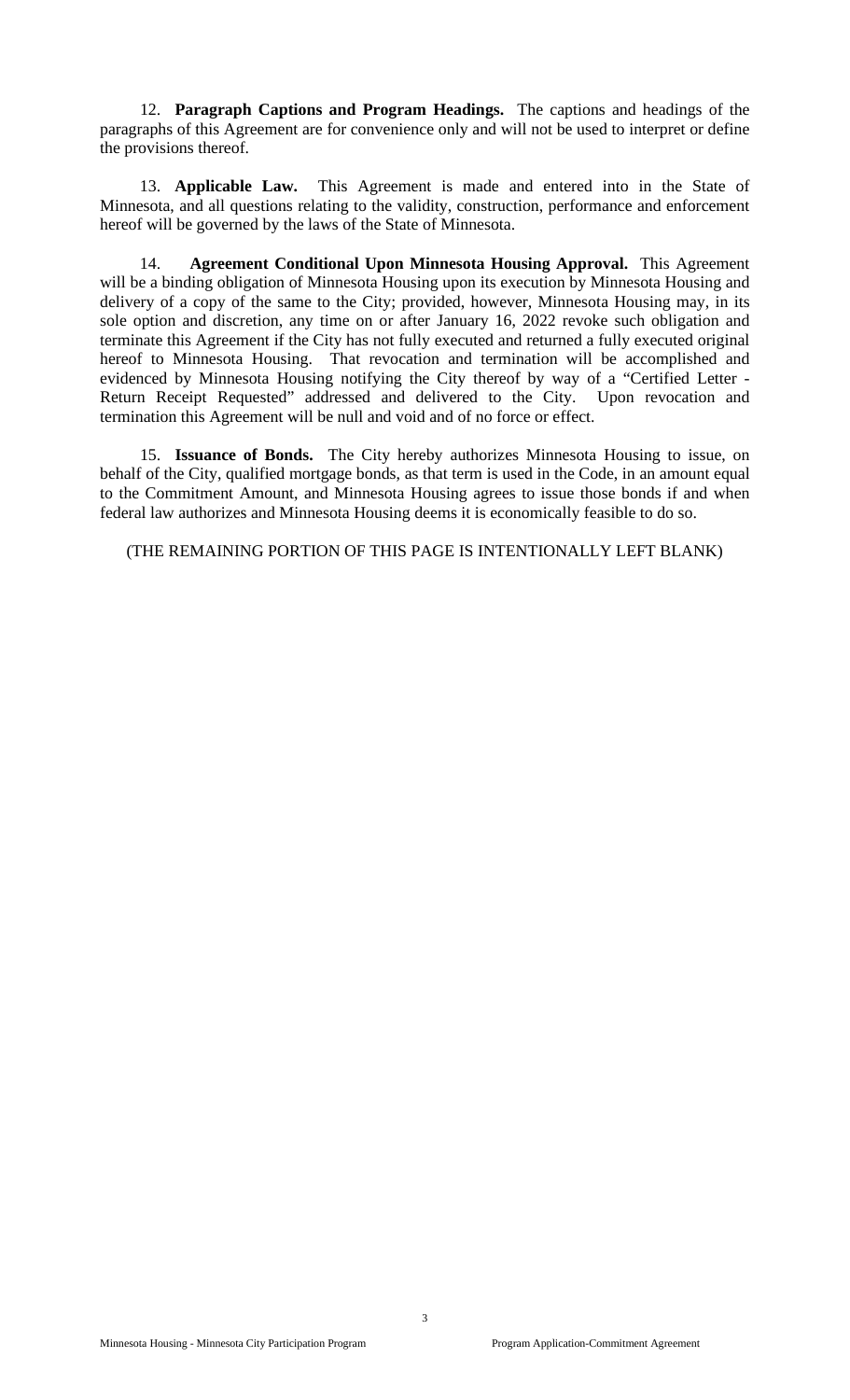12. **Paragraph Captions and Program Headings.** The captions and headings of the paragraphs of this Agreement are for convenience only and will not be used to interpret or define the provisions thereof.

13. **Applicable Law.** This Agreement is made and entered into in the State of Minnesota, and all questions relating to the validity, construction, performance and enforcement hereof will be governed by the laws of the State of Minnesota.

14. **Agreement Conditional Upon Minnesota Housing Approval.** This Agreement will be a binding obligation of Minnesota Housing upon its execution by Minnesota Housing and delivery of a copy of the same to the City; provided, however, Minnesota Housing may, in its sole option and discretion, any time on or after January 16, 2022 revoke such obligation and terminate this Agreement if the City has not fully executed and returned a fully executed original hereof to Minnesota Housing. That revocation and termination will be accomplished and evidenced by Minnesota Housing notifying the City thereof by way of a "Certified Letter - Return Receipt Requested" addressed and delivered to the City. Upon revocation and termination this Agreement will be null and void and of no force or effect.

15. **Issuance of Bonds.** The City hereby authorizes Minnesota Housing to issue, on behalf of the City, qualified mortgage bonds, as that term is used in the Code, in an amount equal to the Commitment Amount, and Minnesota Housing agrees to issue those bonds if and when federal law authorizes and Minnesota Housing deems it is economically feasible to do so.

(THE REMAINING PORTION OF THIS PAGE IS INTENTIONALLY LEFT BLANK)